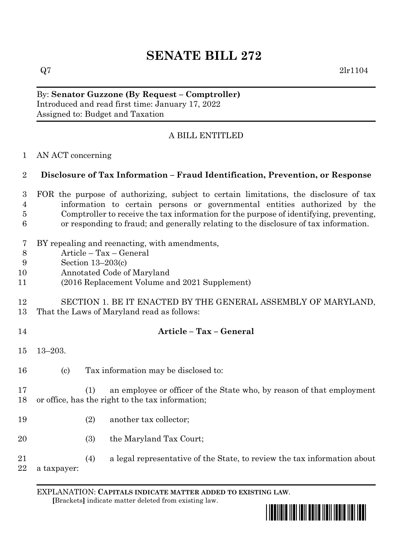# **SENATE BILL 272**

By: **Senator Guzzone (By Request – Comptroller)** Introduced and read first time: January 17, 2022 Assigned to: Budget and Taxation

## A BILL ENTITLED

AN ACT concerning

### **Disclosure of Tax Information – Fraud Identification, Prevention, or Response**

- FOR the purpose of authorizing, subject to certain limitations, the disclosure of tax information to certain persons or governmental entities authorized by the Comptroller to receive the tax information for the purpose of identifying, preventing, or responding to fraud; and generally relating to the disclosure of tax information.
- BY repealing and reenacting, with amendments,
- Article Tax General
- Section 13–203(c)
- Annotated Code of Maryland
- (2016 Replacement Volume and 2021 Supplement)

#### SECTION 1. BE IT ENACTED BY THE GENERAL ASSEMBLY OF MARYLAND, That the Laws of Maryland read as follows:

### **Article – Tax – General**

- 13–203.
- (c) Tax information may be disclosed to:
- (1) an employee or officer of the State who, by reason of that employment or office, has the right to the tax information;
- (2) another tax collector;
- 20 (3) the Maryland Tax Court;
- (4) a legal representative of the State, to review the tax information about a taxpayer:

EXPLANATION: **CAPITALS INDICATE MATTER ADDED TO EXISTING LAW**.  **[**Brackets**]** indicate matter deleted from existing law.